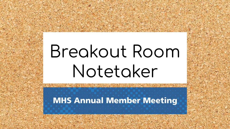# Breakout Room Notetaker

**MHS Annual Member Meeting** 

The company of the second control of the company of the company of the company of the company of the company of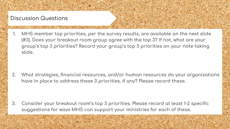#### **Discussion Questions**

MHS member top priorities, per the survey results, are available on the next slide 1. (#3). Does your breakout room group agree with the top 3? If not, what are your group's top 3 priorities? Record your group's top 3 priorities on your note taking slide.

 $2.$ What strategies, financial resources, and/or human resources do your organizations have in place to address these 3 priorities, if any? Please record these.

3. Consider your breakout room's top 3 priorities. Please record at least 1-2 specific suggestions for ways MHS can support your ministries for each of these.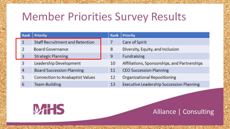## **Member Priorities Survey Results**

| Rank           | <b>Priority</b>                        | Rank | <b>Priority</b>                                 |
|----------------|----------------------------------------|------|-------------------------------------------------|
| 1              | <b>Staff Recruitment and Retention</b> | 7    | Care of Spirit                                  |
| $\overline{2}$ | <b>Board Governance</b>                | 8    | Diversity, Equity, and Inclusion                |
| 3              | <b>Strategic Planning</b>              | 9    | Fundraising                                     |
| 3              | Leadership Development                 | 10   | Affiliations, Sponsorships, and Partnerships    |
| 4              | <b>Board Succession Planning</b>       | 11   | <b>CEO Succession Planning</b>                  |
| 5              | <b>Connection to Anabaptist Values</b> | 12   | <b>Organizational Repositioning</b>             |
| 6              | <b>Team-Building</b>                   | 13   | <b>Executive Leadership Succession Planning</b> |



### Alliance | Consulting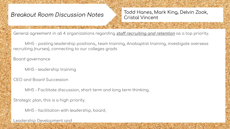A CLEAR THE STATE AND THE STATE OF THE STATE OF THE STATE OF THE STATE OF THE STATE OF THE STATE OF THE STATE OF THE STATE OF THE STATE OF THE STATE OF THE STATE OF THE STATE OF THE STATE OF THE STATE OF THE STATE OF THE S

Todd Hanes, Mark King, Delvin Zook, **Cristal Vincent** 

General agreement in all 4 organizations regarding staff recruiting and retention as a top priority.

MHS - posting leadership positions, team training, Anabaptist training, investigate overseas recruiting (nurses), connecting to our colleges grads

Board governance

MHS - leadership training

CEO and Board Succession

MHS - Facilitate discussion, short term and long term thinking.

Strategic plan, this is a high priority.

MHS - facilitation with leadership, board,

Leadership Development and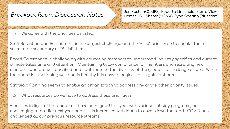The same of the state of the state of the state of the state of the state of the state of the state of the state of

Jen Foster (CCMRS), Roberta Linscheid (Sierra View Homes), Bill Sherer (MSNW), Ryan Goering (Bluestem)

We agree with the priorities as listed.  $\left| \right|$ 

Staff Retention and Recruitment is the largest challenge and the "A list" priority so to speak - the rest seem to be secondary or "B List" items.

Board Governance is challenging with educating members to understand industry specifics and current climate takes time and attention. Maintaining bylaw compliance for members and recruiting new members who are well qualified and contribute to the diversity of the group is a challenge as well. When the board is functioning well and is healthy it is easy to neglect this significant area.

Strategic Planning seems to enable an organization to address any of the other priority issues.

 $2)$ What resources do we have to address these priorities?

Finances in light of the pandemic have been good this year with various subsidy programs, but challenging to predict next year and risk is increased with loans to cover down the road. COVID has challenged all our previous resource streams.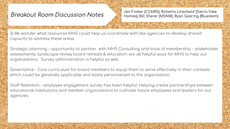Jen Foster (CCMRS), Roberta Linscheid (Sierra View Homes), Bill Sherer (MSNW), Ryan Goering (Bluestem)

3) We wonder what resources MHS could help us coordinate with like agencies to develop shared capacity to address these areas.

Strategic planning - opportunity to partner with MHS Consulting and tools of membership - stakeholder assessments, landscape review, board retreats & education are all helpful ways for MHS to help our organizations. Survey administration is helpful as well.

Governance - Core curriculum for board members to equip them to serve effectively in their contexts which could be generally applicable and easily personalized to the organization.

Staff Retention - employee engagement survey has been helpful. Helping create partnerships between educational institutions and member organizations to cultivate future employees and leaders for our agencies.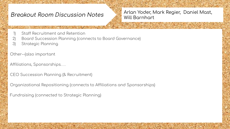Arlan Yoder, Mark Regier, Daniel Mast, **Will Barnhart** 

- Staff Recruitment and Retention
- Board Succession Planning (connects to Board Governance)  $\left( 2\right)$
- Strategic Planning  $3)$

Other--(also important

Affiliations, Sponsorships...

CEO Succession Planning (& Recruitment)

Organizational Repositioning (connects to Affiliations and Sponsorships)

Fundraising (connected to Strategic Planning)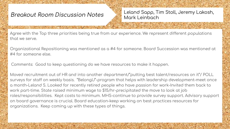THE SAMPLE AND THE RESERVE OF STREET

Leland Sapp, Tim Stoll, Jeremy Lakosh, Mark Leinbach

Agree with the Top three priorities being true from our experience. We represent different populations that we serve.

Organizational Repositioning was mentioned as a #4 for someone. Board Succession was mentioned at #4 for someone else.

Comments: Good to keep questioning do we have resources to make it happen.

Moved recruitment out of HR and into another department/"putting best talent/resources on it"/ POLL surveys for staff on weekly basis. "BelongU"-program that helps with leadership development-meet once a month-Leland S. Looked for recently retired people who have passion for work-Invited them back to work part-time. State raised minimum wage to \$15/hr-precipitated the move to look at job roles/responsibilities. Kept costs to minimum. MHS-continue to provide survey support. Advisory support on board governance is crucial. Board education-keep working on best practices resources for organizations. Keep coming up with these types of things.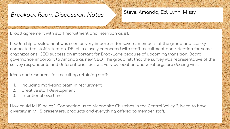#### Steve, Amanda, Ed, Lynn, Missy

Broad agreement with staff recruitment and retention as #1.

The same of the contract of the state of the state of the state of the state of the state of the state of the

Leadership development was seen as very important for several members of the group and closely connected to staff retention. DEI also closely connected with staff recruitment and retention for some organizations. CEO succession important for BrookLane because of upcoming transition. Board governance important to Amanda as new CEO. The group felt that the survey was representative of the survey respondents and different priorities will vary by location and what orgs are dealing with.

Ideas and resources for recruiting retaining staff:

- Including marketing team in recruitment 1.
- Creative staff development 2.
- Intentional overtime  $\mathcal{S}_{\cdot}$

How could MHS help: 1. Connecting us to Mennonite Churches in the Central Valley 2. Need to have diversity in MHS presenters, products and everything offered to member staff.